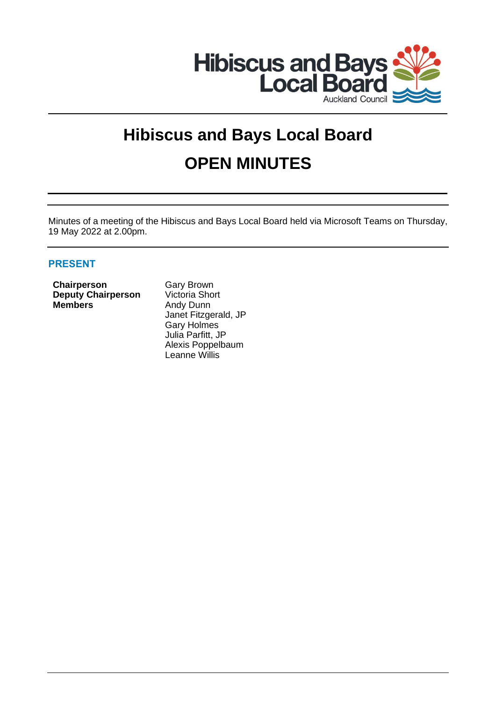

# **Hibiscus and Bays Local Board OPEN MINUTES**

Minutes of a meeting of the Hibiscus and Bays Local Board held via Microsoft Teams on Thursday, 19 May 2022 at 2.00pm.

# **PRESENT**

**Chairperson** Gary Brown **Deputy Chairperson** Victoria Short **Members** Andy Dunn

Janet Fitzgerald, JP Gary Holmes Julia Parfitt, JP Alexis Poppelbaum Leanne Willis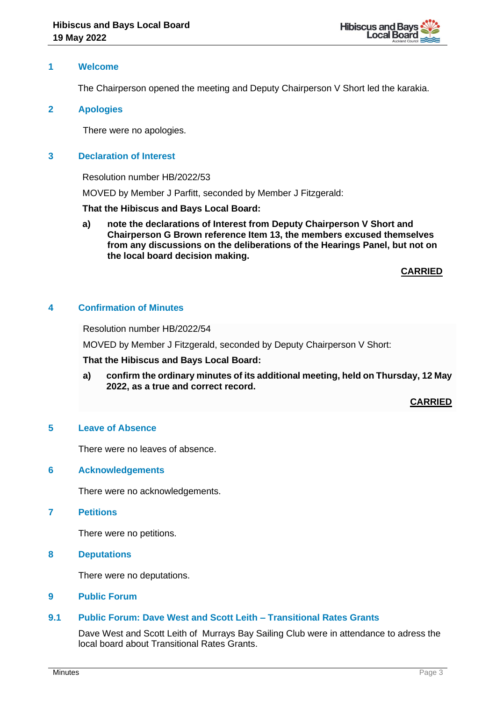

## **1 Welcome**

The Chairperson opened the meeting and Deputy Chairperson V Short led the karakia.

## **2 Apologies**

There were no apologies.

# **3 Declaration of Interest**

Resolution number HB/2022/53

MOVED by Member J Parfitt, seconded by Member J Fitzgerald:

## **That the Hibiscus and Bays Local Board:**

**a) note the declarations of Interest from Deputy Chairperson V Short and Chairperson G Brown reference Item 13, the members excused themselves from any discussions on the deliberations of the Hearings Panel, but not on the local board decision making.**

## **CARRIED**

# **4 Confirmation of Minutes**

Resolution number HB/2022/54

MOVED by Member J Fitzgerald, seconded by Deputy Chairperson V Short:

**That the Hibiscus and Bays Local Board:**

**a) confirm the ordinary minutes of its additional meeting, held on Thursday, 12 May 2022, as a true and correct record.**

**CARRIED**

## **5 Leave of Absence**

There were no leaves of absence.

## **6 Acknowledgements**

There were no acknowledgements.

# **7 Petitions**

There were no petitions.

**8 Deputations**

There were no deputations.

#### **9 Public Forum**

# **9.1 Public Forum: Dave West and Scott Leith – Transitional Rates Grants**

Dave West and Scott Leith of Murrays Bay Sailing Club were in attendance to adress the local board about Transitional Rates Grants.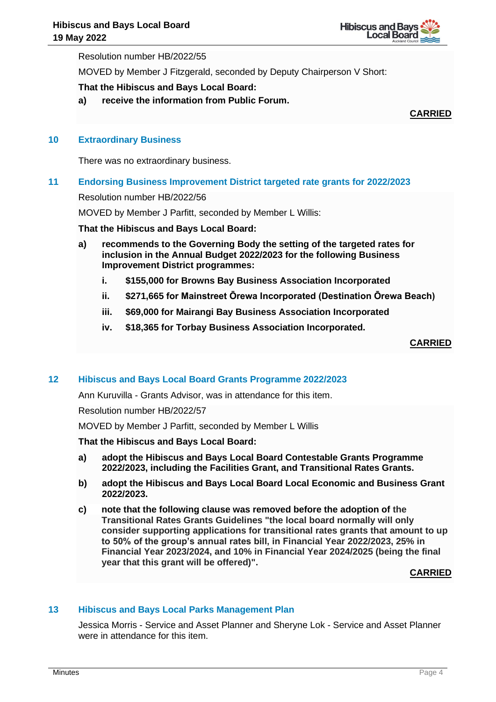

Resolution number HB/2022/55

MOVED by Member J Fitzgerald, seconded by Deputy Chairperson V Short:

# **That the Hibiscus and Bays Local Board:**

**a) receive the information from Public Forum.**

**CARRIED**

### **10 Extraordinary Business**

There was no extraordinary business.

# **11 Endorsing Business Improvement District targeted rate grants for 2022/2023**

Resolution number HB/2022/56

MOVED by Member J Parfitt, seconded by Member L Willis:

#### **That the Hibiscus and Bays Local Board:**

- **a) recommends to the Governing Body the setting of the targeted rates for inclusion in the Annual Budget 2022/2023 for the following Business Improvement District programmes:**
	- **i. \$155,000 for Browns Bay Business Association Incorporated**
	- **ii. \$271,665 for Mainstreet Ōrewa Incorporated (Destination Ōrewa Beach)**
	- **iii. \$69,000 for Mairangi Bay Business Association Incorporated**
	- **iv. \$18,365 for Torbay Business Association Incorporated.**

**CARRIED**

# **12 Hibiscus and Bays Local Board Grants Programme 2022/2023**

Ann Kuruvilla - Grants Advisor, was in attendance for this item.

Resolution number HB/2022/57

MOVED by Member J Parfitt, seconded by Member L Willis

#### **That the Hibiscus and Bays Local Board:**

- **a) adopt the Hibiscus and Bays Local Board Contestable Grants Programme 2022/2023, including the Facilities Grant, and Transitional Rates Grants.**
- **b) adopt the Hibiscus and Bays Local Board Local Economic and Business Grant 2022/2023.**
- **c) note that the following clause was removed before the adoption of the Transitional Rates Grants Guidelines "the local board normally will only consider supporting applications for transitional rates grants that amount to up to 50% of the group's annual rates bill, in Financial Year 2022/2023, 25% in Financial Year 2023/2024, and 10% in Financial Year 2024/2025 (being the final year that this grant will be offered)".**

**CARRIED**

#### **13 Hibiscus and Bays Local Parks Management Plan**

Jessica Morris - Service and Asset Planner and Sheryne Lok - Service and Asset Planner were in attendance for this item.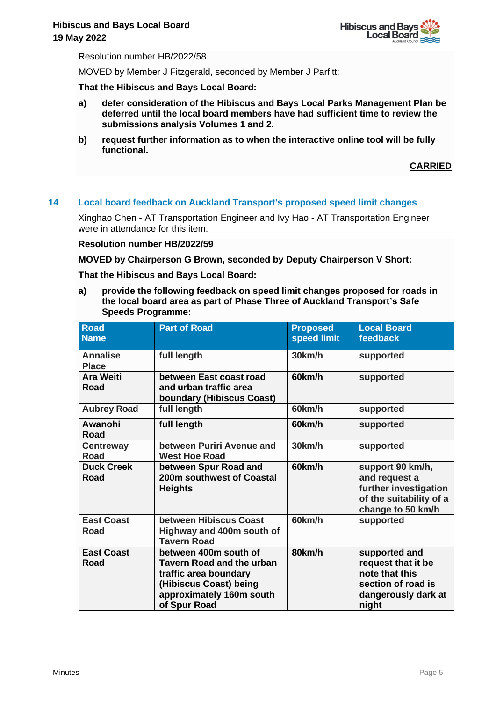

Resolution number HB/2022/58

MOVED by Member J Fitzgerald, seconded by Member J Parfitt:

**That the Hibiscus and Bays Local Board:**

- **a) defer consideration of the Hibiscus and Bays Local Parks Management Plan be deferred until the local board members have had sufficient time to review the submissions analysis Volumes 1 and 2.**
- **b) request further information as to when the interactive online tool will be fully functional.**

**CARRIED**

## **14 Local board feedback on Auckland Transport's proposed speed limit changes**

Xinghao Chen - AT Transportation Engineer and Ivy Hao - AT Transportation Engineer were in attendance for this item.

## **Resolution number HB/2022/59**

#### **MOVED by Chairperson G Brown, seconded by Deputy Chairperson V Short:**

**That the Hibiscus and Bays Local Board:**

**a) provide the following feedback on speed limit changes proposed for roads in the local board area as part of Phase Three of Auckland Transport's Safe Speeds Programme:**

| <b>Road</b><br><b>Name</b>       | <b>Part of Road</b>                                                                                                                                      | <b>Proposed</b><br>speed limit | <b>Local Board</b><br>feedback                                                                              |
|----------------------------------|----------------------------------------------------------------------------------------------------------------------------------------------------------|--------------------------------|-------------------------------------------------------------------------------------------------------------|
| <b>Annalise</b><br><b>Place</b>  | full length                                                                                                                                              | 30km/h                         | supported                                                                                                   |
| <b>Ara Weiti</b><br>Road         | between East coast road<br>and urban traffic area<br>boundary (Hibiscus Coast)                                                                           | 60km/h                         | supported                                                                                                   |
| <b>Aubrey Road</b>               | full length                                                                                                                                              | 60km/h                         | supported                                                                                                   |
| Awanohi<br>Road                  | full length                                                                                                                                              | 60km/h                         | supported                                                                                                   |
| <b>Centreway</b><br><b>Road</b>  | between Puriri Avenue and<br><b>West Hoe Road</b>                                                                                                        | 30km/h                         | supported                                                                                                   |
| <b>Duck Creek</b><br><b>Road</b> | between Spur Road and<br>200m southwest of Coastal<br><b>Heights</b>                                                                                     | 60km/h                         | support 90 km/h,<br>and request a<br>further investigation<br>of the suitability of a<br>change to 50 km/h  |
| <b>East Coast</b><br>Road        | between Hibiscus Coast<br>Highway and 400m south of<br><b>Tavern Road</b>                                                                                | 60km/h                         | supported                                                                                                   |
| <b>East Coast</b><br>Road        | between 400m south of<br><b>Tavern Road and the urban</b><br>traffic area boundary<br>(Hibiscus Coast) being<br>approximately 160m south<br>of Spur Road | 80km/h                         | supported and<br>request that it be<br>note that this<br>section of road is<br>dangerously dark at<br>night |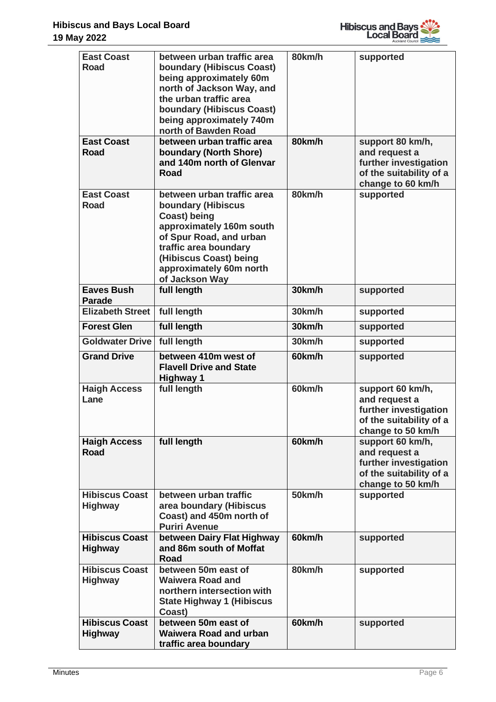

| <b>East Coast</b><br><b>Road</b>        | between urban traffic area<br>boundary (Hibiscus Coast)<br>being approximately 60m<br>north of Jackson Way, and<br>the urban traffic area<br><b>boundary (Hibiscus Coast)</b><br>being approximately 740m<br>north of Bawden Road     | 80km/h | supported                                                                                                  |
|-----------------------------------------|---------------------------------------------------------------------------------------------------------------------------------------------------------------------------------------------------------------------------------------|--------|------------------------------------------------------------------------------------------------------------|
| <b>East Coast</b>                       | between urban traffic area                                                                                                                                                                                                            | 80km/h | support 80 km/h,                                                                                           |
| Road                                    | boundary (North Shore)<br>and 140m north of Glenvar<br>Road                                                                                                                                                                           |        | and request a<br>further investigation<br>of the suitability of a<br>change to 60 km/h                     |
| <b>East Coast</b><br><b>Road</b>        | between urban traffic area<br><b>boundary (Hibiscus</b><br><b>Coast)</b> being<br>approximately 160m south<br>of Spur Road, and urban<br>traffic area boundary<br>(Hibiscus Coast) being<br>approximately 60m north<br>of Jackson Way | 80km/h | supported                                                                                                  |
| <b>Eaves Bush</b><br><b>Parade</b>      | full length                                                                                                                                                                                                                           | 30km/h | supported                                                                                                  |
| <b>Elizabeth Street</b>                 | full length                                                                                                                                                                                                                           | 30km/h | supported                                                                                                  |
| <b>Forest Glen</b>                      | full length                                                                                                                                                                                                                           | 30km/h | supported                                                                                                  |
| <b>Goldwater Drive</b>                  | full length                                                                                                                                                                                                                           | 30km/h | supported                                                                                                  |
| <b>Grand Drive</b>                      | between 410m west of<br><b>Flavell Drive and State</b><br><b>Highway 1</b>                                                                                                                                                            | 60km/h | supported                                                                                                  |
| <b>Haigh Access</b><br>Lane             | full length                                                                                                                                                                                                                           | 60km/h | support 60 km/h,<br>and request a<br>further investigation<br>of the suitability of a<br>change to 50 km/h |
| <b>Haigh Access</b><br><b>Road</b>      | full length                                                                                                                                                                                                                           | 60km/h | support 60 km/h,<br>and request a<br>further investigation<br>of the suitability of a<br>change to 50 km/h |
| <b>Hibiscus Coast</b><br><b>Highway</b> | between urban traffic<br>area boundary (Hibiscus<br>Coast) and 450m north of<br><b>Puriri Avenue</b>                                                                                                                                  | 50km/h | supported                                                                                                  |
| <b>Hibiscus Coast</b><br><b>Highway</b> | between Dairy Flat Highway<br>and 86m south of Moffat<br>Road                                                                                                                                                                         | 60km/h | supported                                                                                                  |
| <b>Hibiscus Coast</b><br><b>Highway</b> | between 50m east of<br><b>Waiwera Road and</b><br>northern intersection with<br><b>State Highway 1 (Hibiscus</b><br>Coast)                                                                                                            | 80km/h | supported                                                                                                  |
| <b>Hibiscus Coast</b><br><b>Highway</b> | between 50m east of<br><b>Waiwera Road and urban</b><br>traffic area boundary                                                                                                                                                         | 60km/h | supported                                                                                                  |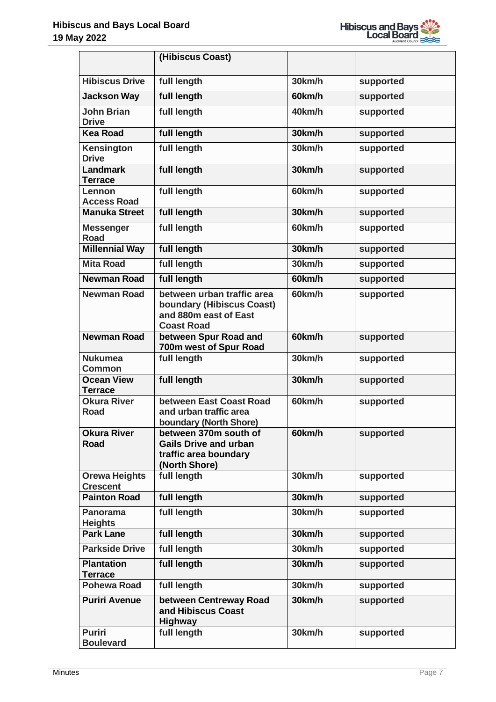

|                                         | (Hibiscus Coast)                                                                                             |        |           |
|-----------------------------------------|--------------------------------------------------------------------------------------------------------------|--------|-----------|
| <b>Hibiscus Drive</b>                   | full length                                                                                                  | 30km/h | supported |
| <b>Jackson Way</b>                      | full length                                                                                                  | 60km/h | supported |
| <b>John Brian</b><br><b>Drive</b>       | full length                                                                                                  | 40km/h | supported |
| <b>Kea Road</b>                         | full length                                                                                                  | 30km/h | supported |
| Kensington<br><b>Drive</b>              | full length                                                                                                  | 30km/h | supported |
| <b>Landmark</b><br><b>Terrace</b>       | full length                                                                                                  | 30km/h | supported |
| Lennon<br><b>Access Road</b>            | full length                                                                                                  | 60km/h | supported |
| <b>Manuka Street</b>                    | full length                                                                                                  | 30km/h | supported |
| <b>Messenger</b><br><b>Road</b>         | full length                                                                                                  | 60km/h | supported |
| <b>Millennial Way</b>                   | full length                                                                                                  | 30km/h | supported |
| <b>Mita Road</b>                        | full length                                                                                                  | 30km/h | supported |
| <b>Newman Road</b>                      | full length                                                                                                  | 60km/h | supported |
| <b>Newman Road</b>                      | between urban traffic area<br><b>boundary (Hibiscus Coast)</b><br>and 880m east of East<br><b>Coast Road</b> | 60km/h | supported |
| <b>Newman Road</b>                      | between Spur Road and<br>700m west of Spur Road                                                              | 60km/h | supported |
| <b>Nukumea</b><br><b>Common</b>         | full length                                                                                                  | 30km/h | supported |
| <b>Ocean View</b><br><b>Terrace</b>     | full length                                                                                                  | 30km/h | supported |
| <b>Okura River</b><br>Road              | between East Coast Road<br>and urban traffic area<br>boundary (North Shore)                                  | 60km/h | supported |
| <b>Okura River</b><br><b>Road</b>       | between 370m south of<br><b>Gails Drive and urban</b><br>traffic area boundary<br>(North Shore)              | 60km/h | supported |
| <b>Orewa Heights</b><br><b>Crescent</b> | full length                                                                                                  | 30km/h | supported |
| <b>Painton Road</b>                     | full length                                                                                                  | 30km/h | supported |
| <b>Panorama</b><br><b>Heights</b>       | full length                                                                                                  | 30km/h | supported |
| <b>Park Lane</b>                        | full length                                                                                                  | 30km/h | supported |
| <b>Parkside Drive</b>                   | full length                                                                                                  | 30km/h | supported |
| <b>Plantation</b><br><b>Terrace</b>     | full length                                                                                                  | 30km/h | supported |
| <b>Pohewa Road</b>                      | full length                                                                                                  | 30km/h | supported |
| <b>Puriri Avenue</b>                    | between Centreway Road<br>and Hibiscus Coast<br><b>Highway</b>                                               | 30km/h | supported |
| <b>Puriri</b><br><b>Boulevard</b>       | full length                                                                                                  | 30km/h | supported |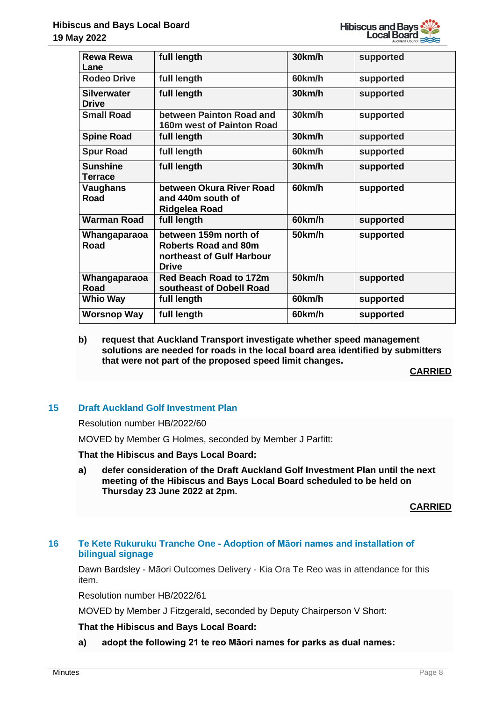

| <b>Rewa Rewa</b><br>Lane           | full length                                                                                       | 30km/h | supported |
|------------------------------------|---------------------------------------------------------------------------------------------------|--------|-----------|
| <b>Rodeo Drive</b>                 | full length                                                                                       | 60km/h | supported |
| <b>Silverwater</b><br><b>Drive</b> | full length                                                                                       | 30km/h | supported |
| <b>Small Road</b>                  | between Painton Road and<br><b>160m west of Painton Road</b>                                      | 30km/h | supported |
| <b>Spine Road</b>                  | full length                                                                                       | 30km/h | supported |
| <b>Spur Road</b>                   | full length                                                                                       | 60km/h | supported |
| <b>Sunshine</b><br>Terrace         | full length                                                                                       | 30km/h | supported |
| <b>Vaughans</b><br>Road            | between Okura River Road<br>and 440m south of<br>Ridgelea Road                                    | 60km/h | supported |
| <b>Warman Road</b>                 | full length                                                                                       | 60km/h | supported |
| Whangaparaoa<br><b>Road</b>        | between 159m north of<br><b>Roberts Road and 80m</b><br>northeast of Gulf Harbour<br><b>Drive</b> | 50km/h | supported |
| Whangaparaoa<br><b>Road</b>        | Red Beach Road to 172m<br>southeast of Dobell Road                                                | 50km/h | supported |
| <b>Whio Way</b>                    | full length                                                                                       | 60km/h | supported |
| <b>Worsnop Way</b>                 | full length                                                                                       | 60km/h | supported |

### **b) request that Auckland Transport investigate whether speed management solutions are needed for roads in the local board area identified by submitters that were not part of the proposed speed limit changes.**

**CARRIED**

# **15 Draft Auckland Golf Investment Plan**

Resolution number HB/2022/60

MOVED by Member G Holmes, seconded by Member J Parfitt:

**That the Hibiscus and Bays Local Board:**

**a) defer consideration of the Draft Auckland Golf Investment Plan until the next meeting of the Hibiscus and Bays Local Board scheduled to be held on Thursday 23 June 2022 at 2pm.**

#### **CARRIED**

# **16 Te Kete Rukuruku Tranche One - Adoption of Māori names and installation of bilingual signage**

Dawn Bardsley - Māori Outcomes Delivery - Kia Ora Te Reo was in attendance for this item.

Resolution number HB/2022/61

MOVED by Member J Fitzgerald, seconded by Deputy Chairperson V Short:

**That the Hibiscus and Bays Local Board:**

**a) adopt the following 21 te reo Māori names for parks as dual names:**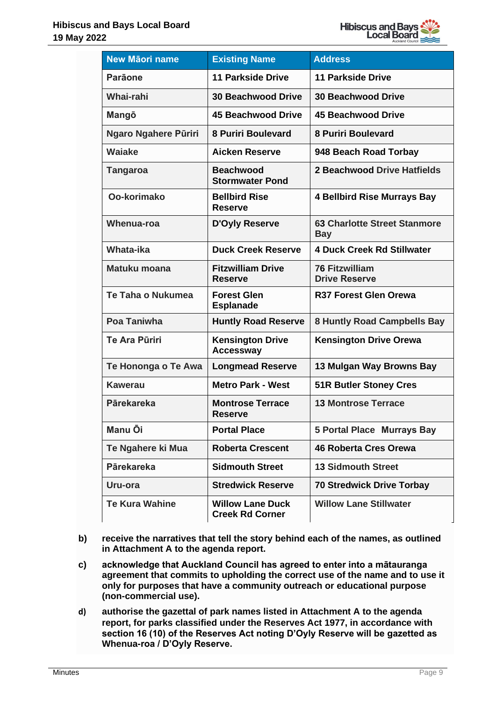

| <b>New Māori name</b>       | <b>Existing Name</b>                              | <b>Address</b>                                    |
|-----------------------------|---------------------------------------------------|---------------------------------------------------|
| <b>Parāone</b>              | <b>11 Parkside Drive</b>                          | <b>11 Parkside Drive</b>                          |
| Whai-rahi                   | <b>30 Beachwood Drive</b>                         | <b>30 Beachwood Drive</b>                         |
| Mangō                       | <b>45 Beachwood Drive</b>                         | 45 Beachwood Drive                                |
| <b>Ngaro Ngahere Püriri</b> | <b>8 Puriri Boulevard</b>                         | <b>8 Puriri Boulevard</b>                         |
| <b>Waiake</b>               | <b>Aicken Reserve</b>                             | 948 Beach Road Torbay                             |
| <b>Tangaroa</b>             | <b>Beachwood</b><br><b>Stormwater Pond</b>        | 2 Beachwood Drive Hatfields                       |
| Oo-korimako                 | <b>Bellbird Rise</b><br><b>Reserve</b>            | <b>4 Bellbird Rise Murrays Bay</b>                |
| <b>Whenua-roa</b>           | <b>D'Oyly Reserve</b>                             | <b>63 Charlotte Street Stanmore</b><br><b>Bay</b> |
| Whata-ika                   | <b>Duck Creek Reserve</b>                         | <b>4 Duck Creek Rd Stillwater</b>                 |
| Matuku moana                | <b>Fitzwilliam Drive</b><br><b>Reserve</b>        | <b>76 Fitzwilliam</b><br><b>Drive Reserve</b>     |
| Te Taha o Nukumea           | <b>Forest Glen</b><br><b>Esplanade</b>            | <b>R37 Forest Glen Orewa</b>                      |
| Poa Taniwha                 | <b>Huntly Road Reserve</b>                        | <b>8 Huntly Road Campbells Bay</b>                |
| <b>Te Ara Püriri</b>        | <b>Kensington Drive</b><br><b>Accessway</b>       | <b>Kensington Drive Orewa</b>                     |
| Te Hononga o Te Awa         | <b>Longmead Reserve</b>                           | 13 Mulgan Way Browns Bay                          |
| <b>Kawerau</b>              | <b>Metro Park - West</b>                          | <b>51R Butler Stoney Cres</b>                     |
| <b>Pārekareka</b>           | <b>Montrose Terrace</b><br><b>Reserve</b>         | <b>13 Montrose Terrace</b>                        |
| <b>Manu Ōi</b>              | <b>Portal Place</b>                               | <b>5 Portal Place Murrays Bay</b>                 |
| Te Ngahere ki Mua           | <b>Roberta Crescent</b>                           | <b>46 Roberta Cres Orewa</b>                      |
| <b>Pārekareka</b>           | <b>Sidmouth Street</b>                            | <b>13 Sidmouth Street</b>                         |
| Uru-ora                     | <b>Stredwick Reserve</b>                          | <b>70 Stredwick Drive Torbay</b>                  |
| <b>Te Kura Wahine</b>       | <b>Willow Lane Duck</b><br><b>Creek Rd Corner</b> | <b>Willow Lane Stillwater</b>                     |

- **b) receive the narratives that tell the story behind each of the names, as outlined in Attachment A to the agenda report.**
- **c) acknowledge that Auckland Council has agreed to enter into a mātauranga agreement that commits to upholding the correct use of the name and to use it only for purposes that have a community outreach or educational purpose (non-commercial use).**
- **d) authorise the gazettal of park names listed in Attachment A to the agenda report, for parks classified under the Reserves Act 1977, in accordance with section 16 (10) of the Reserves Act noting D'Oyly Reserve will be gazetted as Whenua-roa / D'Oyly Reserve.**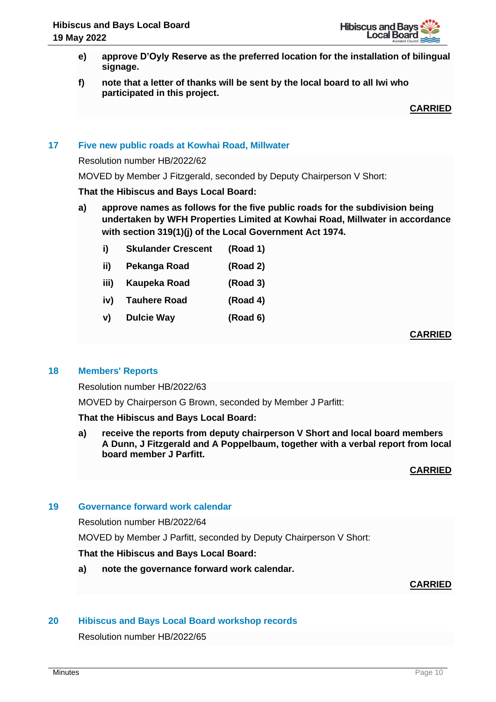- **e) approve D'Oyly Reserve as the preferred location for the installation of bilingual signage.**
- **f) note that a letter of thanks will be sent by the local board to all Iwi who participated in this project.**

**CARRIED**

# **17 Five new public roads at Kowhai Road, Millwater**

Resolution number HB/2022/62

MOVED by Member J Fitzgerald, seconded by Deputy Chairperson V Short:

#### **That the Hibiscus and Bays Local Board:**

- **a) approve names as follows for the five public roads for the subdivision being undertaken by WFH Properties Limited at Kowhai Road, Millwater in accordance with section 319(1)(j) of the Local Government Act 1974.** 
	- **i) Skulander Crescent (Road 1)**
	- **ii) Pekanga Road (Road 2)**
	- **iii) Kaupeka Road (Road 3)**
	- **iv) Tauhere Road (Road 4)**
	- **v) Dulcie Way (Road 6)**

**CARRIED**

#### **18 Members' Reports**

Resolution number HB/2022/63

MOVED by Chairperson G Brown, seconded by Member J Parfitt:

**That the Hibiscus and Bays Local Board:**

**a) receive the reports from deputy chairperson V Short and local board members A Dunn, J Fitzgerald and A Poppelbaum, together with a verbal report from local board member J Parfitt.**

**CARRIED**

## **19 Governance forward work calendar**

Resolution number HB/2022/64

MOVED by Member J Parfitt, seconded by Deputy Chairperson V Short:

#### **That the Hibiscus and Bays Local Board:**

**a) note the governance forward work calendar.**

#### **CARRIED**

## **20 Hibiscus and Bays Local Board workshop records**

Resolution number HB/2022/65